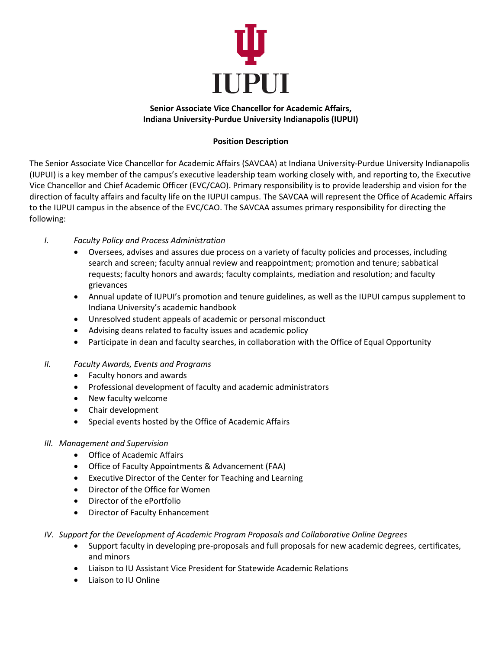

## **Senior Associate Vice Chancellor for Academic Affairs, Indiana University-Purdue University Indianapolis (IUPUI)**

## **Position Description**

The Senior Associate Vice Chancellor for Academic Affairs (SAVCAA) at Indiana University-Purdue University Indianapolis (IUPUI) is a key member of the campus's executive leadership team working closely with, and reporting to, the Executive Vice Chancellor and Chief Academic Officer (EVC/CAO). Primary responsibility is to provide leadership and vision for the direction of faculty affairs and faculty life on the IUPUI campus. The SAVCAA will represent the Office of Academic Affairs to the IUPUI campus in the absence of the EVC/CAO. The SAVCAA assumes primary responsibility for directing the following:

- *I. Faculty Policy and Process Administration*
	- Oversees, advises and assures due process on a variety of faculty policies and processes, including search and screen; faculty annual review and reappointment; promotion and tenure; sabbatical requests; faculty honors and awards; faculty complaints, mediation and resolution; and faculty grievances
	- Annual update of IUPUI's promotion and tenure guidelines, as well as the IUPUI campus supplement to Indiana University's academic handbook
	- Unresolved student appeals of academic or personal misconduct
	- Advising deans related to faculty issues and academic policy
	- Participate in dean and faculty searches, in collaboration with the Office of Equal Opportunity
- *II. Faculty Awards, Events and Programs*
	- Faculty honors and awards
	- Professional development of faculty and academic administrators
	- New faculty welcome
	- Chair development
	- Special events hosted by the Office of Academic Affairs
- *III. Management and Supervision*
	- Office of Academic Affairs
	- Office of Faculty Appointments & Advancement (FAA)
	- Executive Director of the Center for Teaching and Learning
	- Director of the Office for Women
	- Director of the ePortfolio
	- Director of Faculty Enhancement
- *IV. Support for the Development of Academic Program Proposals and Collaborative Online Degrees*
	- Support faculty in developing pre-proposals and full proposals for new academic degrees, certificates, and minors
	- Liaison to IU Assistant Vice President for Statewide Academic Relations
	- Liaison to IU Online